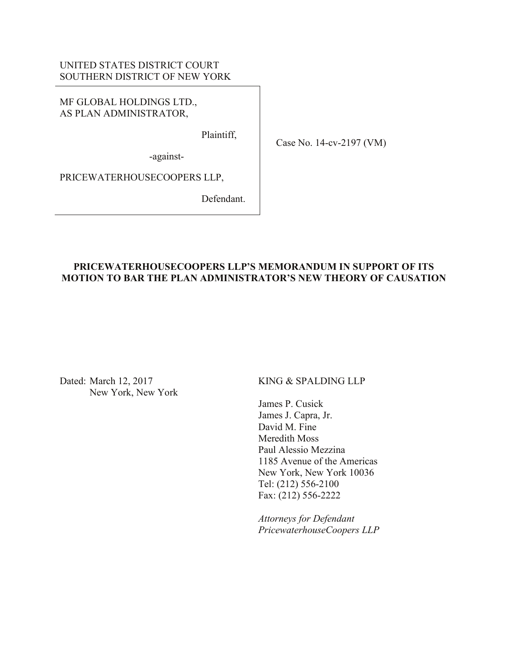# UNITED STATES DISTRICT COURT SOUTHERN DISTRICT OF NEW YORK

MF GLOBAL HOLDINGS LTD., AS PLAN ADMINISTRATOR,

Plaintiff,

Case No. 14-cv-2197 (VM)

-against-

PRICEWATERHOUSECOOPERS LLP,

Defendant.

# **PRICEWATERHOUSECOOPERS LLP'S MEMORANDUM IN SUPPORT OF ITS MOTION TO BAR THE PLAN ADMINISTRATOR'S NEW THEORY OF CAUSATION**

Dated: March 12, 2017 New York, New York KING & SPALDING LLP

James P. Cusick James J. Capra, Jr. David M. Fine Meredith Moss Paul Alessio Mezzina 1185 Avenue of the Americas New York, New York 10036 Tel: (212) 556-2100 Fax: (212) 556-2222

*Attorneys for Defendant PricewaterhouseCoopers LLP*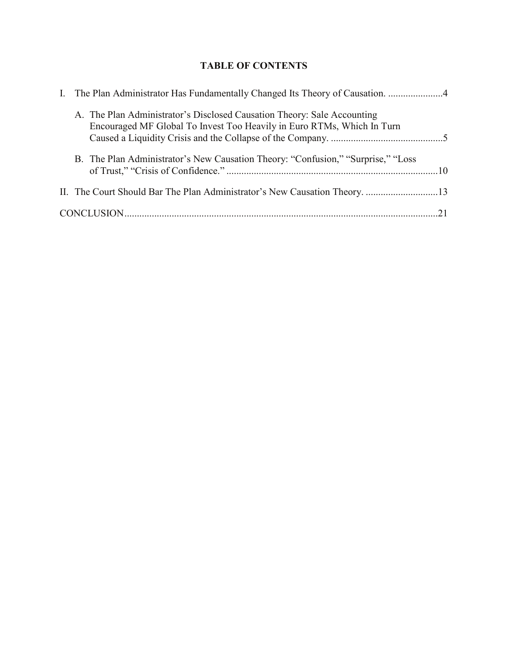# **TABLE OF CONTENTS**

|  | A. The Plan Administrator's Disclosed Causation Theory: Sale Accounting<br>Encouraged MF Global To Invest Too Heavily in Euro RTMs, Which In Turn |  |
|--|---------------------------------------------------------------------------------------------------------------------------------------------------|--|
|  | B. The Plan Administrator's New Causation Theory: "Confusion," "Surprise," "Loss                                                                  |  |
|  | II. The Court Should Bar The Plan Administrator's New Causation Theory. 13                                                                        |  |
|  |                                                                                                                                                   |  |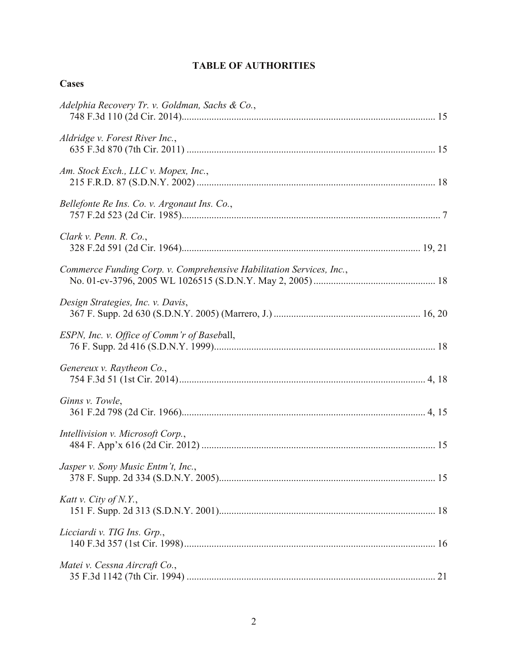# **TABLE OF AUTHORITIES**

| I |
|---|
|---|

| Adelphia Recovery Tr. v. Goldman, Sachs & Co.,                       |  |
|----------------------------------------------------------------------|--|
| Aldridge v. Forest River Inc.,                                       |  |
| Am. Stock Exch., LLC v. Mopex, Inc.,                                 |  |
| Bellefonte Re Ins. Co. v. Argonaut Ins. Co.,                         |  |
| Clark v. Penn. R. Co.,                                               |  |
| Commerce Funding Corp. v. Comprehensive Habilitation Services, Inc., |  |
| Design Strategies, Inc. v. Davis,                                    |  |
| ESPN, Inc. v. Office of Comm'r of Baseball,                          |  |
| Genereux v. Raytheon Co.,                                            |  |
| Ginns v. Towle,                                                      |  |
| Intellivision v. Microsoft Corp.,                                    |  |
| Jasper v. Sony Music Entm't, Inc.,                                   |  |
| Katt v. City of N.Y.,                                                |  |
| Licciardi v. TIG Ins. Grp.,                                          |  |
| Matei v. Cessna Aircraft Co.,                                        |  |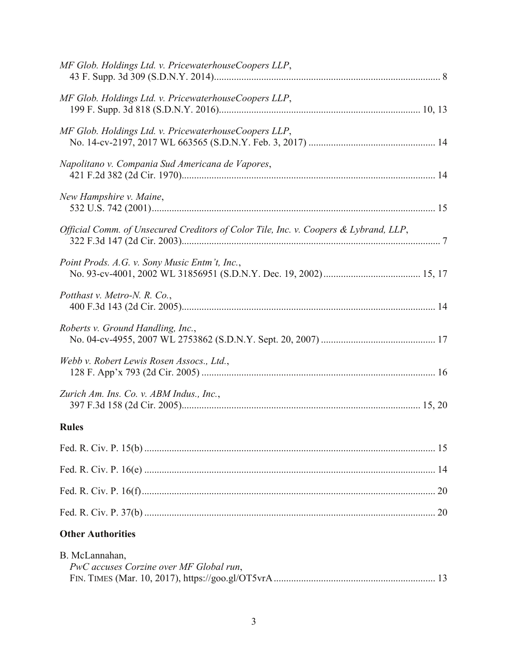| B. McLannahan,<br>PwC accuses Corzine over MF Global run,                            |  |
|--------------------------------------------------------------------------------------|--|
| <b>Other Authorities</b>                                                             |  |
|                                                                                      |  |
|                                                                                      |  |
|                                                                                      |  |
|                                                                                      |  |
| <b>Rules</b>                                                                         |  |
| Zurich Am. Ins. Co. v. ABM Indus., Inc.,                                             |  |
| Webb v. Robert Lewis Rosen Assocs., Ltd.,                                            |  |
| Roberts v. Ground Handling, Inc.,                                                    |  |
| Potthast v. Metro-N. R. Co.,                                                         |  |
| Point Prods. A.G. v. Sony Music Entm't, Inc.,                                        |  |
| Official Comm. of Unsecured Creditors of Color Tile, Inc. v. Coopers & Lybrand, LLP, |  |
| New Hampshire v. Maine,                                                              |  |
| Napolitano v. Compania Sud Americana de Vapores,                                     |  |
| MF Glob. Holdings Ltd. v. PricewaterhouseCoopers LLP,                                |  |
| MF Glob. Holdings Ltd. v. PricewaterhouseCoopers LLP,                                |  |
| MF Glob. Holdings Ltd. v. PricewaterhouseCoopers LLP,                                |  |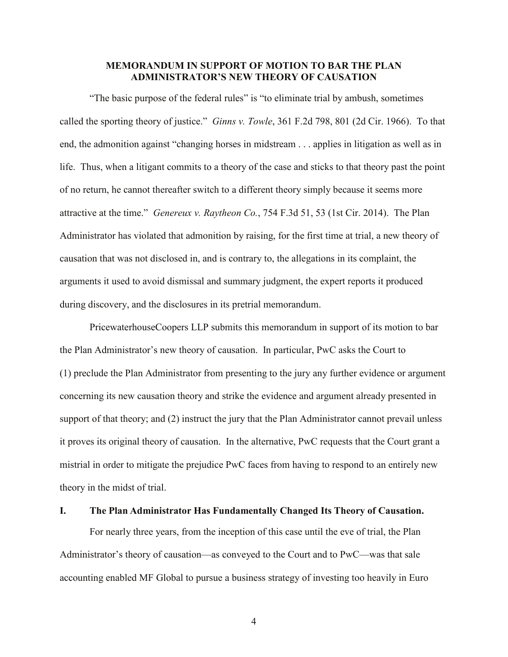### **MEMORANDUM IN SUPPORT OF MOTION TO BAR THE PLAN ADMINISTRATOR'S NEW THEORY OF CAUSATION**

"The basic purpose of the federal rules" is "to eliminate trial by ambush, sometimes called the sporting theory of justice." *Ginns v. Towle*, 361 F.2d 798, 801 (2d Cir. 1966). To that end, the admonition against "changing horses in midstream . . . applies in litigation as well as in life. Thus, when a litigant commits to a theory of the case and sticks to that theory past the point of no return, he cannot thereafter switch to a different theory simply because it seems more attractive at the time." *Genereux v. Raytheon Co.*, 754 F.3d 51, 53 (1st Cir. 2014). The Plan Administrator has violated that admonition by raising, for the first time at trial, a new theory of causation that was not disclosed in, and is contrary to, the allegations in its complaint, the arguments it used to avoid dismissal and summary judgment, the expert reports it produced during discovery, and the disclosures in its pretrial memorandum.

PricewaterhouseCoopers LLP submits this memorandum in support of its motion to bar the Plan Administrator's new theory of causation. In particular, PwC asks the Court to (1) preclude the Plan Administrator from presenting to the jury any further evidence or argument concerning its new causation theory and strike the evidence and argument already presented in support of that theory; and (2) instruct the jury that the Plan Administrator cannot prevail unless it proves its original theory of causation. In the alternative, PwC requests that the Court grant a mistrial in order to mitigate the prejudice PwC faces from having to respond to an entirely new theory in the midst of trial.

#### <span id="page-4-0"></span>**I. The Plan Administrator Has Fundamentally Changed Its Theory of Causation.**

For nearly three years, from the inception of this case until the eve of trial, the Plan Administrator's theory of causation—as conveyed to the Court and to PwC—was that sale accounting enabled MF Global to pursue a business strategy of investing too heavily in Euro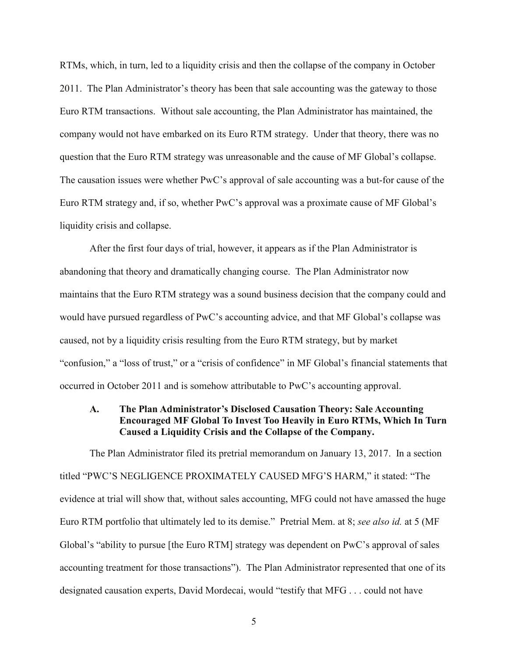RTMs, which, in turn, led to a liquidity crisis and then the collapse of the company in October 2011. The Plan Administrator's theory has been that sale accounting was the gateway to those Euro RTM transactions. Without sale accounting, the Plan Administrator has maintained, the company would not have embarked on its Euro RTM strategy. Under that theory, there was no question that the Euro RTM strategy was unreasonable and the cause of MF Global's collapse. The causation issues were whether PwC's approval of sale accounting was a but-for cause of the Euro RTM strategy and, if so, whether PwC's approval was a proximate cause of MF Global's liquidity crisis and collapse.

After the first four days of trial, however, it appears as if the Plan Administrator is abandoning that theory and dramatically changing course. The Plan Administrator now maintains that the Euro RTM strategy was a sound business decision that the company could and would have pursued regardless of PwC's accounting advice, and that MF Global's collapse was caused, not by a liquidity crisis resulting from the Euro RTM strategy, but by market "confusion," a "loss of trust," or a "crisis of confidence" in MF Global's financial statements that occurred in October 2011 and is somehow attributable to PwC's accounting approval.

### <span id="page-5-0"></span>**A. The Plan Administrator's Disclosed Causation Theory: Sale Accounting Encouraged MF Global To Invest Too Heavily in Euro RTMs, Which In Turn Caused a Liquidity Crisis and the Collapse of the Company.**

The Plan Administrator filed its pretrial memorandum on January 13, 2017. In a section titled "PWC'S NEGLIGENCE PROXIMATELY CAUSED MFG'S HARM," it stated: "The evidence at trial will show that, without sales accounting, MFG could not have amassed the huge Euro RTM portfolio that ultimately led to its demise." Pretrial Mem. at 8; *see also id.* at 5 (MF Global's "ability to pursue [the Euro RTM] strategy was dependent on PwC's approval of sales accounting treatment for those transactions"). The Plan Administrator represented that one of its designated causation experts, David Mordecai, would "testify that MFG . . . could not have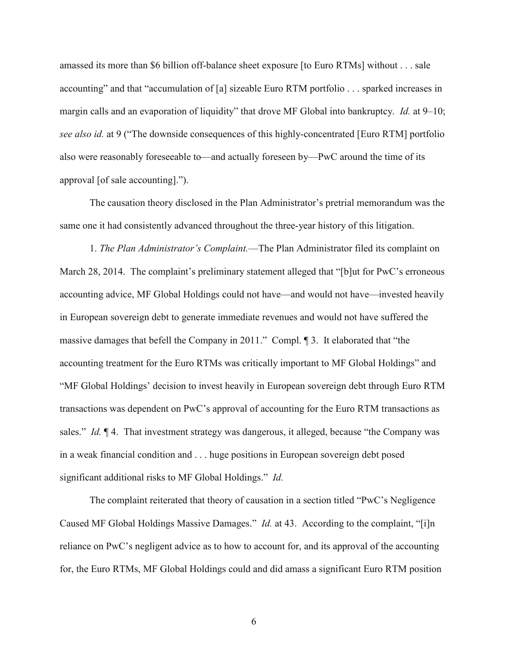amassed its more than \$6 billion off-balance sheet exposure [to Euro RTMs] without . . . sale accounting" and that "accumulation of [a] sizeable Euro RTM portfolio . . . sparked increases in margin calls and an evaporation of liquidity" that drove MF Global into bankruptcy. *Id.* at 9–10; *see also id.* at 9 ("The downside consequences of this highly-concentrated [Euro RTM] portfolio also were reasonably foreseeable to—and actually foreseen by—PwC around the time of its approval [of sale accounting].").

The causation theory disclosed in the Plan Administrator's pretrial memorandum was the same one it had consistently advanced throughout the three-year history of this litigation.

1. *The Plan Administrator's Complaint.*—The Plan Administrator filed its complaint on March 28, 2014. The complaint's preliminary statement alleged that "[b]ut for PwC's erroneous accounting advice, MF Global Holdings could not have—and would not have—invested heavily in European sovereign debt to generate immediate revenues and would not have suffered the massive damages that befell the Company in 2011." Compl. ¶ 3. It elaborated that "the accounting treatment for the Euro RTMs was critically important to MF Global Holdings" and "MF Global Holdings' decision to invest heavily in European sovereign debt through Euro RTM transactions was dependent on PwC's approval of accounting for the Euro RTM transactions as sales." *Id.*  $\llbracket 4$ . That investment strategy was dangerous, it alleged, because "the Company was in a weak financial condition and . . . huge positions in European sovereign debt posed significant additional risks to MF Global Holdings." *Id.*

The complaint reiterated that theory of causation in a section titled "PwC's Negligence Caused MF Global Holdings Massive Damages." *Id.* at 43. According to the complaint, "[i]n reliance on PwC's negligent advice as to how to account for, and its approval of the accounting for, the Euro RTMs, MF Global Holdings could and did amass a significant Euro RTM position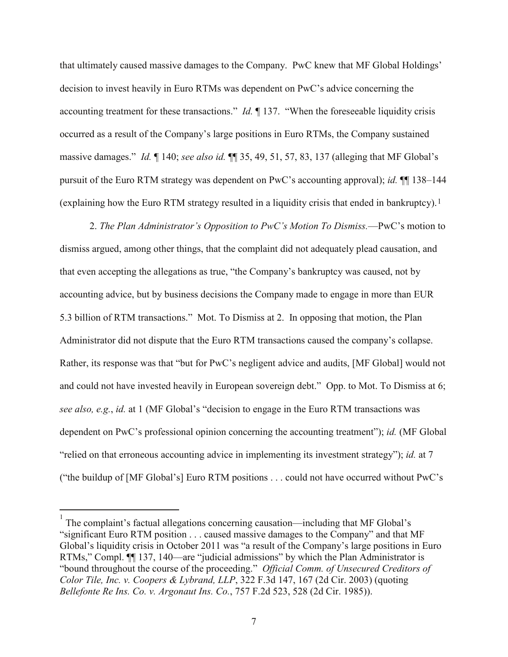that ultimately caused massive damages to the Company. PwC knew that MF Global Holdings' decision to invest heavily in Euro RTMs was dependent on PwC's advice concerning the accounting treatment for these transactions." *Id.* ¶ 137. "When the foreseeable liquidity crisis occurred as a result of the Company's large positions in Euro RTMs, the Company sustained massive damages." *Id.* ¶ 140; *see also id.* ¶¶ 35, 49, 51, 57, 83, 137 (alleging that MF Global's pursuit of the Euro RTM strategy was dependent on PwC's accounting approval); *id.* ¶¶ 138–144 (explaining how the Euro RTM strategy resulted in a liquidity crisis that ended in bankruptcy).[1](#page-7-0)

2. *The Plan Administrator's Opposition to PwC's Motion To Dismiss.*—PwC's motion to dismiss argued, among other things, that the complaint did not adequately plead causation, and that even accepting the allegations as true, "the Company's bankruptcy was caused, not by accounting advice, but by business decisions the Company made to engage in more than EUR 5.3 billion of RTM transactions." Mot. To Dismiss at 2. In opposing that motion, the Plan Administrator did not dispute that the Euro RTM transactions caused the company's collapse. Rather, its response was that "but for PwC's negligent advice and audits, [MF Global] would not and could not have invested heavily in European sovereign debt." Opp. to Mot. To Dismiss at 6; *see also, e.g.*, *id.* at 1 (MF Global's "decision to engage in the Euro RTM transactions was dependent on PwC's professional opinion concerning the accounting treatment"); *id.* (MF Global "relied on that erroneous accounting advice in implementing its investment strategy"); *id.* at 7 ("the buildup of [MF Global's] Euro RTM positions . . . could not have occurred without PwC's

<span id="page-7-0"></span> $\frac{1}{1}$ The complaint's factual allegations concerning causation—including that MF Global's "significant Euro RTM position . . . caused massive damages to the Company" and that MF Global's liquidity crisis in October 2011 was "a result of the Company's large positions in Euro RTMs," Compl. ¶¶ 137, 140—are "judicial admissions" by which the Plan Administrator is "bound throughout the course of the proceeding." *Official Comm. of Unsecured Creditors of Color Tile, Inc. v. Coopers & Lybrand, LLP*, 322 F.3d 147, 167 (2d Cir. 2003) (quoting *Bellefonte Re Ins. Co. v. Argonaut Ins. Co.*, 757 F.2d 523, 528 (2d Cir. 1985)).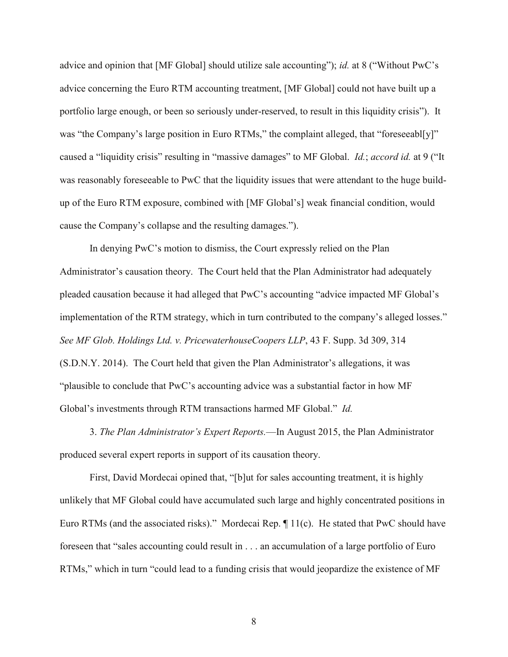advice and opinion that [MF Global] should utilize sale accounting"); *id.* at 8 ("Without PwC's advice concerning the Euro RTM accounting treatment, [MF Global] could not have built up a portfolio large enough, or been so seriously under-reserved, to result in this liquidity crisis"). It was "the Company's large position in Euro RTMs," the complaint alleged, that "foreseeabl[y]" caused a "liquidity crisis" resulting in "massive damages" to MF Global. *Id.*; *accord id.* at 9 ("It was reasonably foreseeable to PwC that the liquidity issues that were attendant to the huge buildup of the Euro RTM exposure, combined with [MF Global's] weak financial condition, would cause the Company's collapse and the resulting damages.").

In denying PwC's motion to dismiss, the Court expressly relied on the Plan Administrator's causation theory. The Court held that the Plan Administrator had adequately pleaded causation because it had alleged that PwC's accounting "advice impacted MF Global's implementation of the RTM strategy, which in turn contributed to the company's alleged losses." *See MF Glob. Holdings Ltd. v. PricewaterhouseCoopers LLP*, 43 F. Supp. 3d 309, 314 (S.D.N.Y. 2014). The Court held that given the Plan Administrator's allegations, it was "plausible to conclude that PwC's accounting advice was a substantial factor in how MF Global's investments through RTM transactions harmed MF Global." *Id.*

3. *The Plan Administrator's Expert Reports.*—In August 2015, the Plan Administrator produced several expert reports in support of its causation theory.

First, David Mordecai opined that, "[b]ut for sales accounting treatment, it is highly unlikely that MF Global could have accumulated such large and highly concentrated positions in Euro RTMs (and the associated risks)." Mordecai Rep. ¶ 11(c). He stated that PwC should have foreseen that "sales accounting could result in . . . an accumulation of a large portfolio of Euro RTMs," which in turn "could lead to a funding crisis that would jeopardize the existence of MF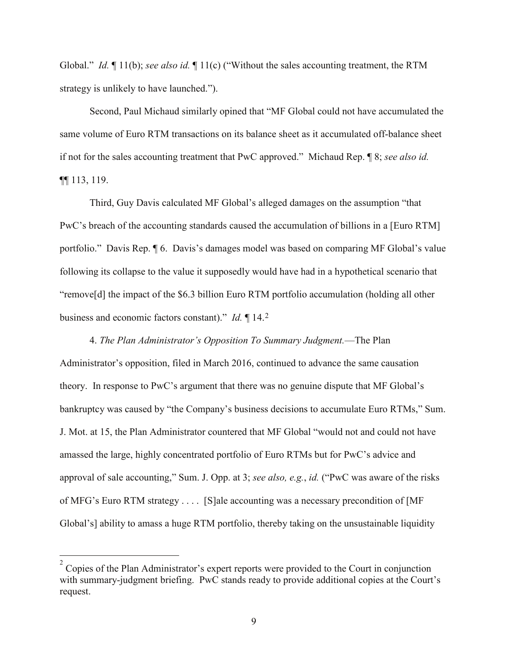Global." *Id.* ¶ 11(b); *see also id.* ¶ 11(c) ("Without the sales accounting treatment, the RTM strategy is unlikely to have launched.").

Second, Paul Michaud similarly opined that "MF Global could not have accumulated the same volume of Euro RTM transactions on its balance sheet as it accumulated off-balance sheet if not for the sales accounting treatment that PwC approved." Michaud Rep. ¶ 8; *see also id.* ¶¶ 113, 119.

Third, Guy Davis calculated MF Global's alleged damages on the assumption "that PwC's breach of the accounting standards caused the accumulation of billions in a [Euro RTM] portfolio." Davis Rep. ¶ 6. Davis's damages model was based on comparing MF Global's value following its collapse to the value it supposedly would have had in a hypothetical scenario that "remove[d] the impact of the \$6.3 billion Euro RTM portfolio accumulation (holding all other business and economic factors constant)." *Id.* ¶ 14.[2](#page-9-0)

4. *The Plan Administrator's Opposition To Summary Judgment.*—The Plan Administrator's opposition, filed in March 2016, continued to advance the same causation theory. In response to PwC's argument that there was no genuine dispute that MF Global's bankruptcy was caused by "the Company's business decisions to accumulate Euro RTMs," Sum. J. Mot. at 15, the Plan Administrator countered that MF Global "would not and could not have amassed the large, highly concentrated portfolio of Euro RTMs but for PwC's advice and approval of sale accounting," Sum. J. Opp. at 3; *see also, e.g.*, *id.* ("PwC was aware of the risks of MFG's Euro RTM strategy . . . . [S]ale accounting was a necessary precondition of [MF Global's] ability to amass a huge RTM portfolio, thereby taking on the unsustainable liquidity

<span id="page-9-0"></span> $\frac{1}{2}$ Copies of the Plan Administrator's expert reports were provided to the Court in conjunction with summary-judgment briefing. PwC stands ready to provide additional copies at the Court's request.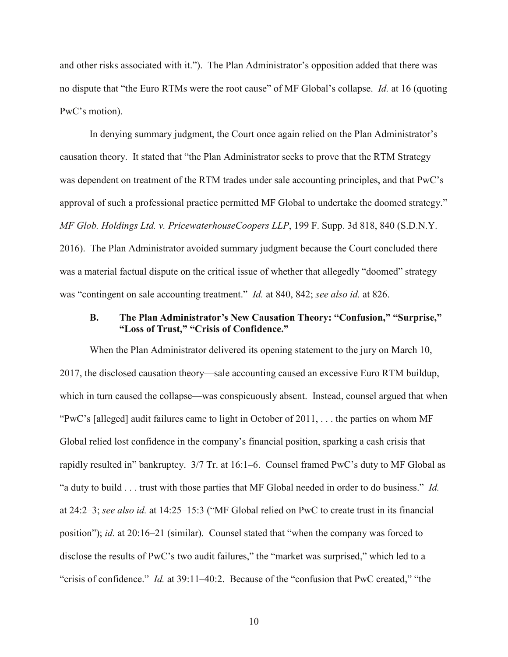and other risks associated with it."). The Plan Administrator's opposition added that there was no dispute that "the Euro RTMs were the root cause" of MF Global's collapse. *Id.* at 16 (quoting PwC's motion).

In denying summary judgment, the Court once again relied on the Plan Administrator's causation theory. It stated that "the Plan Administrator seeks to prove that the RTM Strategy was dependent on treatment of the RTM trades under sale accounting principles, and that PwC's approval of such a professional practice permitted MF Global to undertake the doomed strategy." *MF Glob. Holdings Ltd. v. PricewaterhouseCoopers LLP*, 199 F. Supp. 3d 818, 840 (S.D.N.Y. 2016). The Plan Administrator avoided summary judgment because the Court concluded there was a material factual dispute on the critical issue of whether that allegedly "doomed" strategy was "contingent on sale accounting treatment." *Id.* at 840, 842; *see also id.* at 826.

### <span id="page-10-0"></span>**B. The Plan Administrator's New Causation Theory: "Confusion," "Surprise," "Loss of Trust," "Crisis of Confidence."**

When the Plan Administrator delivered its opening statement to the jury on March 10, 2017, the disclosed causation theory—sale accounting caused an excessive Euro RTM buildup, which in turn caused the collapse—was conspicuously absent. Instead, counsel argued that when "PwC's [alleged] audit failures came to light in October of 2011, . . . the parties on whom MF Global relied lost confidence in the company's financial position, sparking a cash crisis that rapidly resulted in" bankruptcy. 3/7 Tr. at 16:1–6. Counsel framed PwC's duty to MF Global as "a duty to build . . . trust with those parties that MF Global needed in order to do business." *Id.* at 24:2–3; *see also id.* at 14:25–15:3 ("MF Global relied on PwC to create trust in its financial position"); *id.* at 20:16–21 (similar). Counsel stated that "when the company was forced to disclose the results of PwC's two audit failures," the "market was surprised," which led to a "crisis of confidence." *Id.* at 39:11–40:2. Because of the "confusion that PwC created," "the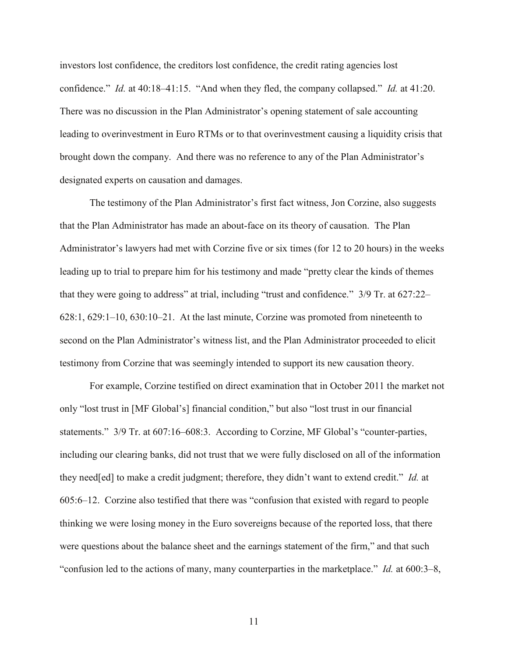investors lost confidence, the creditors lost confidence, the credit rating agencies lost confidence." *Id.* at 40:18–41:15. "And when they fled, the company collapsed." *Id.* at 41:20. There was no discussion in the Plan Administrator's opening statement of sale accounting leading to overinvestment in Euro RTMs or to that overinvestment causing a liquidity crisis that brought down the company. And there was no reference to any of the Plan Administrator's designated experts on causation and damages.

The testimony of the Plan Administrator's first fact witness, Jon Corzine, also suggests that the Plan Administrator has made an about-face on its theory of causation. The Plan Administrator's lawyers had met with Corzine five or six times (for 12 to 20 hours) in the weeks leading up to trial to prepare him for his testimony and made "pretty clear the kinds of themes that they were going to address" at trial, including "trust and confidence." 3/9 Tr. at 627:22– 628:1, 629:1–10, 630:10–21. At the last minute, Corzine was promoted from nineteenth to second on the Plan Administrator's witness list, and the Plan Administrator proceeded to elicit testimony from Corzine that was seemingly intended to support its new causation theory.

For example, Corzine testified on direct examination that in October 2011 the market not only "lost trust in [MF Global's] financial condition," but also "lost trust in our financial statements." 3/9 Tr. at 607:16–608:3. According to Corzine, MF Global's "counter-parties, including our clearing banks, did not trust that we were fully disclosed on all of the information they need[ed] to make a credit judgment; therefore, they didn't want to extend credit." *Id.* at 605:6–12. Corzine also testified that there was "confusion that existed with regard to people thinking we were losing money in the Euro sovereigns because of the reported loss, that there were questions about the balance sheet and the earnings statement of the firm," and that such "confusion led to the actions of many, many counterparties in the marketplace." *Id.* at 600:3–8,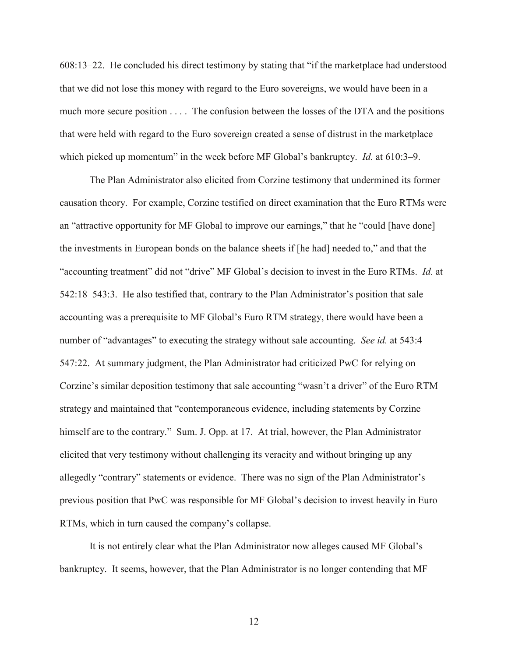608:13–22. He concluded his direct testimony by stating that "if the marketplace had understood that we did not lose this money with regard to the Euro sovereigns, we would have been in a much more secure position . . . . The confusion between the losses of the DTA and the positions that were held with regard to the Euro sovereign created a sense of distrust in the marketplace which picked up momentum" in the week before MF Global's bankruptcy. *Id.* at 610:3–9.

The Plan Administrator also elicited from Corzine testimony that undermined its former causation theory. For example, Corzine testified on direct examination that the Euro RTMs were an "attractive opportunity for MF Global to improve our earnings," that he "could [have done] the investments in European bonds on the balance sheets if [he had] needed to," and that the "accounting treatment" did not "drive" MF Global's decision to invest in the Euro RTMs. *Id.* at 542:18–543:3. He also testified that, contrary to the Plan Administrator's position that sale accounting was a prerequisite to MF Global's Euro RTM strategy, there would have been a number of "advantages" to executing the strategy without sale accounting. *See id.* at 543:4– 547:22. At summary judgment, the Plan Administrator had criticized PwC for relying on Corzine's similar deposition testimony that sale accounting "wasn't a driver" of the Euro RTM strategy and maintained that "contemporaneous evidence, including statements by Corzine himself are to the contrary." Sum. J. Opp. at 17. At trial, however, the Plan Administrator elicited that very testimony without challenging its veracity and without bringing up any allegedly "contrary" statements or evidence. There was no sign of the Plan Administrator's previous position that PwC was responsible for MF Global's decision to invest heavily in Euro RTMs, which in turn caused the company's collapse.

It is not entirely clear what the Plan Administrator now alleges caused MF Global's bankruptcy. It seems, however, that the Plan Administrator is no longer contending that MF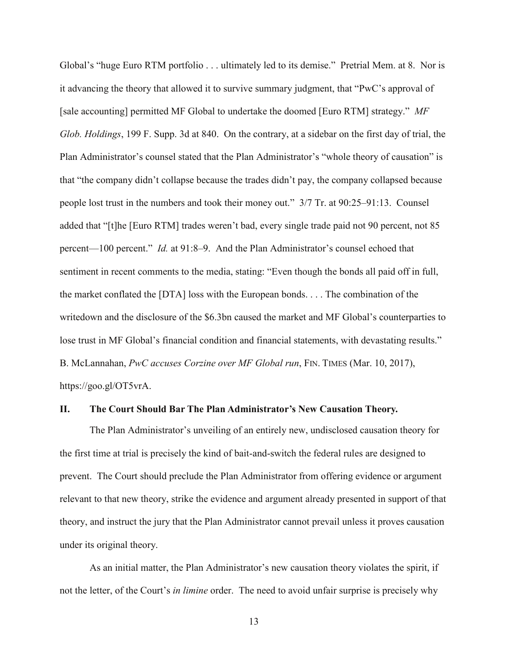Global's "huge Euro RTM portfolio . . . ultimately led to its demise." Pretrial Mem. at 8. Nor is it advancing the theory that allowed it to survive summary judgment, that "PwC's approval of [sale accounting] permitted MF Global to undertake the doomed [Euro RTM] strategy." *MF Glob. Holdings*, 199 F. Supp. 3d at 840. On the contrary, at a sidebar on the first day of trial, the Plan Administrator's counsel stated that the Plan Administrator's "whole theory of causation" is that "the company didn't collapse because the trades didn't pay, the company collapsed because people lost trust in the numbers and took their money out." 3/7 Tr. at 90:25–91:13. Counsel added that "[t]he [Euro RTM] trades weren't bad, every single trade paid not 90 percent, not 85 percent—100 percent." *Id.* at 91:8–9. And the Plan Administrator's counsel echoed that sentiment in recent comments to the media, stating: "Even though the bonds all paid off in full, the market conflated the [DTA] loss with the European bonds. . . . The combination of the writedown and the disclosure of the \$6.3bn caused the market and MF Global's counterparties to lose trust in MF Global's financial condition and financial statements, with devastating results." B. McLannahan, *PwC accuses Corzine over MF Global run*, FIN. TIMES (Mar. 10, 2017), https://goo.gl/OT5vrA.

#### <span id="page-13-0"></span>**II. The Court Should Bar The Plan Administrator's New Causation Theory.**

The Plan Administrator's unveiling of an entirely new, undisclosed causation theory for the first time at trial is precisely the kind of bait-and-switch the federal rules are designed to prevent. The Court should preclude the Plan Administrator from offering evidence or argument relevant to that new theory, strike the evidence and argument already presented in support of that theory, and instruct the jury that the Plan Administrator cannot prevail unless it proves causation under its original theory.

As an initial matter, the Plan Administrator's new causation theory violates the spirit, if not the letter, of the Court's *in limine* order. The need to avoid unfair surprise is precisely why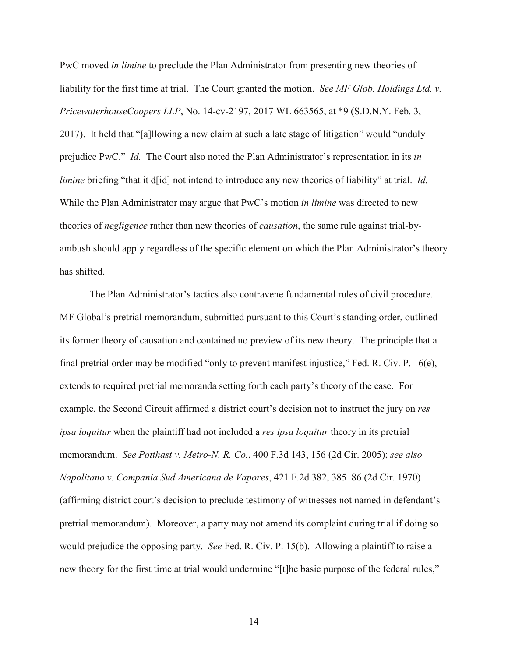PwC moved *in limine* to preclude the Plan Administrator from presenting new theories of liability for the first time at trial. The Court granted the motion. *See MF Glob. Holdings Ltd. v. PricewaterhouseCoopers LLP*, No. 14-cv-2197, 2017 WL 663565, at \*9 (S.D.N.Y. Feb. 3, 2017). It held that "[a]llowing a new claim at such a late stage of litigation" would "unduly prejudice PwC." *Id.* The Court also noted the Plan Administrator's representation in its *in limine* briefing "that it d[id] not intend to introduce any new theories of liability" at trial. *Id.* While the Plan Administrator may argue that PwC's motion *in limine* was directed to new theories of *negligence* rather than new theories of *causation*, the same rule against trial-byambush should apply regardless of the specific element on which the Plan Administrator's theory has shifted.

The Plan Administrator's tactics also contravene fundamental rules of civil procedure. MF Global's pretrial memorandum, submitted pursuant to this Court's standing order, outlined its former theory of causation and contained no preview of its new theory. The principle that a final pretrial order may be modified "only to prevent manifest injustice," Fed. R. Civ. P. 16(e), extends to required pretrial memoranda setting forth each party's theory of the case. For example, the Second Circuit affirmed a district court's decision not to instruct the jury on *res ipsa loquitur* when the plaintiff had not included a *res ipsa loquitur* theory in its pretrial memorandum. *See Potthast v. Metro-N. R. Co.*, 400 F.3d 143, 156 (2d Cir. 2005); *see also Napolitano v. Compania Sud Americana de Vapores*, 421 F.2d 382, 385–86 (2d Cir. 1970) (affirming district court's decision to preclude testimony of witnesses not named in defendant's pretrial memorandum). Moreover, a party may not amend its complaint during trial if doing so would prejudice the opposing party. *See* Fed. R. Civ. P. 15(b). Allowing a plaintiff to raise a new theory for the first time at trial would undermine "[t]he basic purpose of the federal rules,"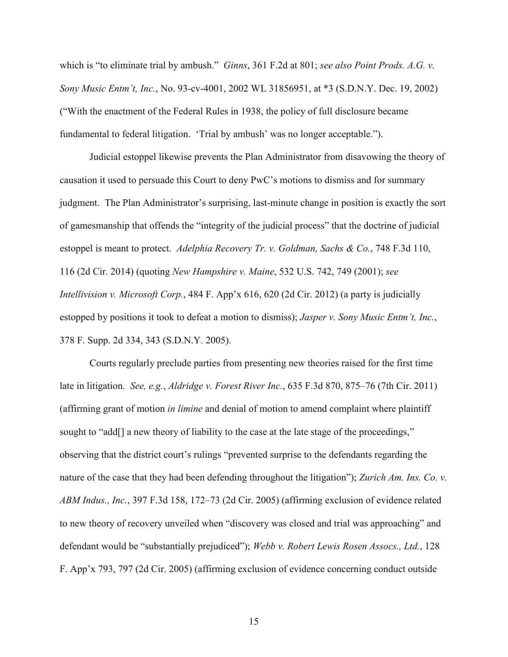which is "to eliminate trial by ambush." *Ginns*, 361 F.2d at 801; *see also Point Prods. A.G. v. Sony Music Entm't, Inc.*, No. 93-cv-4001, 2002 WL 31856951, at \*3 (S.D.N.Y. Dec. 19, 2002) ("With the enactment of the Federal Rules in 1938, the policy of full disclosure became fundamental to federal litigation. 'Trial by ambush' was no longer acceptable.").

Judicial estoppel likewise prevents the Plan Administrator from disavowing the theory of causation it used to persuade this Court to deny PwC's motions to dismiss and for summary judgment. The Plan Administrator's surprising, last-minute change in position is exactly the sort of gamesmanship that offends the "integrity of the judicial process" that the doctrine of judicial estoppel is meant to protect. *Adelphia Recovery Tr. v. Goldman, Sachs & Co.*, 748 F.3d 110, 116 (2d Cir. 2014) (quoting *New Hampshire v. Maine*, 532 U.S. 742, 749 (2001); *see Intellivision v. Microsoft Corp.*, 484 F. App'x 616, 620 (2d Cir. 2012) (a party is judicially estopped by positions it took to defeat a motion to dismiss); *Jasper v. Sony Music Entm't, Inc.*, 378 F. Supp. 2d 334, 343 (S.D.N.Y. 2005).

Courts regularly preclude parties from presenting new theories raised for the first time late in litigation. *See, e.g.*, *Aldridge v. Forest River Inc.*, 635 F.3d 870, 875–76 (7th Cir. 2011) (affirming grant of motion *in limine* and denial of motion to amend complaint where plaintiff sought to "add[] a new theory of liability to the case at the late stage of the proceedings," observing that the district court's rulings "prevented surprise to the defendants regarding the nature of the case that they had been defending throughout the litigation"); *Zurich Am. Ins. Co. v. ABM Indus., Inc.*, 397 F.3d 158, 172–73 (2d Cir. 2005) (affirming exclusion of evidence related to new theory of recovery unveiled when "discovery was closed and trial was approaching" and defendant would be "substantially prejudiced"); *Webb v. Robert Lewis Rosen Assocs., Ltd.*, 128 F. App'x 793, 797 (2d Cir. 2005) (affirming exclusion of evidence concerning conduct outside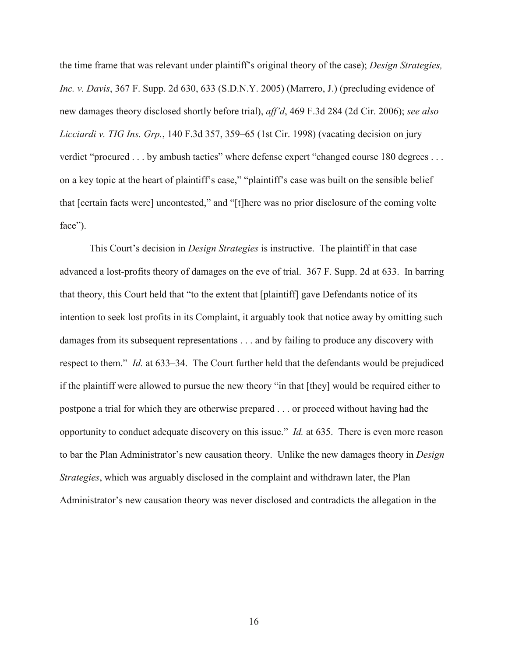the time frame that was relevant under plaintiff's original theory of the case); *Design Strategies, Inc. v. Davis*, 367 F. Supp. 2d 630, 633 (S.D.N.Y. 2005) (Marrero, J.) (precluding evidence of new damages theory disclosed shortly before trial), *aff'd*, 469 F.3d 284 (2d Cir. 2006); *see also Licciardi v. TIG Ins. Grp.*, 140 F.3d 357, 359–65 (1st Cir. 1998) (vacating decision on jury verdict "procured . . . by ambush tactics" where defense expert "changed course 180 degrees . . . on a key topic at the heart of plaintiff's case," "plaintiff's case was built on the sensible belief that [certain facts were] uncontested," and "[t]here was no prior disclosure of the coming volte face").

This Court's decision in *Design Strategies* is instructive. The plaintiff in that case advanced a lost-profits theory of damages on the eve of trial. 367 F. Supp. 2d at 633. In barring that theory, this Court held that "to the extent that [plaintiff] gave Defendants notice of its intention to seek lost profits in its Complaint, it arguably took that notice away by omitting such damages from its subsequent representations . . . and by failing to produce any discovery with respect to them." *Id.* at 633–34. The Court further held that the defendants would be prejudiced if the plaintiff were allowed to pursue the new theory "in that [they] would be required either to postpone a trial for which they are otherwise prepared . . . or proceed without having had the opportunity to conduct adequate discovery on this issue." *Id.* at 635. There is even more reason to bar the Plan Administrator's new causation theory. Unlike the new damages theory in *Design Strategies*, which was arguably disclosed in the complaint and withdrawn later, the Plan Administrator's new causation theory was never disclosed and contradicts the allegation in the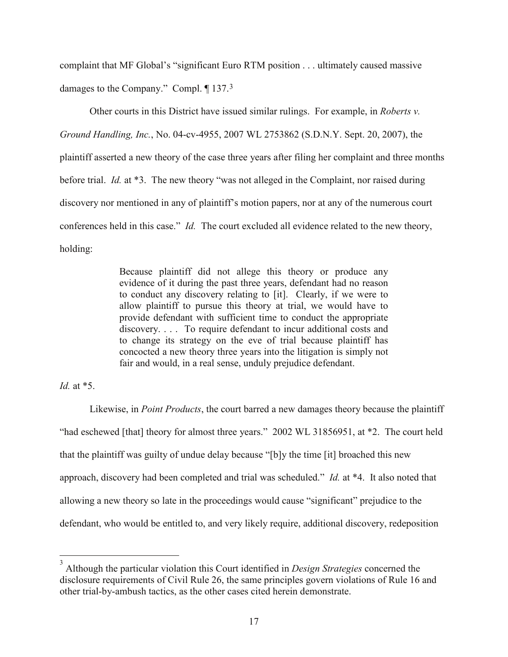complaint that MF Global's "significant Euro RTM position . . . ultimately caused massive damages to the Company." Compl. ¶ 137.[3](#page-17-0)

Other courts in this District have issued similar rulings. For example, in *Roberts v. Ground Handling, Inc.*, No. 04-cv-4955, 2007 WL 2753862 (S.D.N.Y. Sept. 20, 2007), the plaintiff asserted a new theory of the case three years after filing her complaint and three months before trial. *Id.* at \*3. The new theory "was not alleged in the Complaint, nor raised during discovery nor mentioned in any of plaintiff's motion papers, nor at any of the numerous court conferences held in this case." *Id.* The court excluded all evidence related to the new theory, holding:

> Because plaintiff did not allege this theory or produce any evidence of it during the past three years, defendant had no reason to conduct any discovery relating to [it]. Clearly, if we were to allow plaintiff to pursue this theory at trial, we would have to provide defendant with sufficient time to conduct the appropriate discovery. . . . To require defendant to incur additional costs and to change its strategy on the eve of trial because plaintiff has concocted a new theory three years into the litigation is simply not fair and would, in a real sense, unduly prejudice defendant.

### *Id.* at \*5.

Likewise, in *Point Products*, the court barred a new damages theory because the plaintiff "had eschewed [that] theory for almost three years." 2002 WL 31856951, at \*2. The court held that the plaintiff was guilty of undue delay because "[b]y the time [it] broached this new approach, discovery had been completed and trial was scheduled." *Id.* at \*4. It also noted that allowing a new theory so late in the proceedings would cause "significant" prejudice to the defendant, who would be entitled to, and very likely require, additional discovery, redeposition

<span id="page-17-0"></span> <sup>3</sup> Although the particular violation this Court identified in *Design Strategies* concerned the disclosure requirements of Civil Rule 26, the same principles govern violations of Rule 16 and other trial-by-ambush tactics, as the other cases cited herein demonstrate.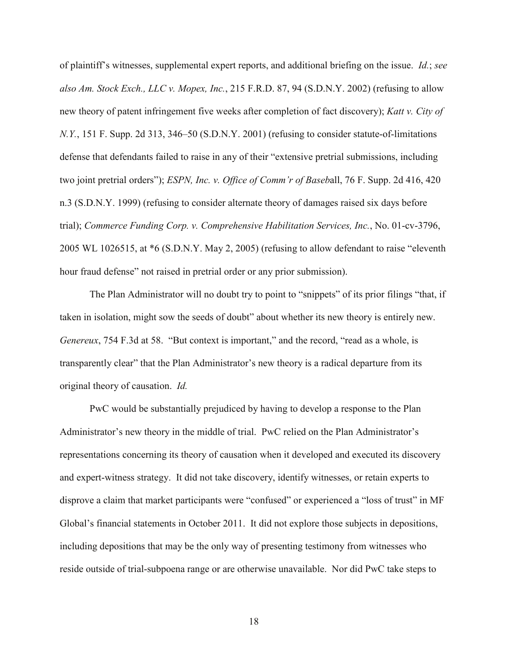of plaintiff's witnesses, supplemental expert reports, and additional briefing on the issue. *Id.*; *see also Am. Stock Exch., LLC v. Mopex, Inc.*, 215 F.R.D. 87, 94 (S.D.N.Y. 2002) (refusing to allow new theory of patent infringement five weeks after completion of fact discovery); *Katt v. City of N.Y.*, 151 F. Supp. 2d 313, 346–50 (S.D.N.Y. 2001) (refusing to consider statute-of-limitations defense that defendants failed to raise in any of their "extensive pretrial submissions, including two joint pretrial orders"); *ESPN, Inc. v. Office of Comm'r of Baseb*all, 76 F. Supp. 2d 416, 420 n.3 (S.D.N.Y. 1999) (refusing to consider alternate theory of damages raised six days before trial); *Commerce Funding Corp. v. Comprehensive Habilitation Services, Inc.*, No. 01-cv-3796, 2005 WL 1026515, at \*6 (S.D.N.Y. May 2, 2005) (refusing to allow defendant to raise "eleventh hour fraud defense" not raised in pretrial order or any prior submission).

The Plan Administrator will no doubt try to point to "snippets" of its prior filings "that, if taken in isolation, might sow the seeds of doubt" about whether its new theory is entirely new. *Genereux*, 754 F.3d at 58. "But context is important," and the record, "read as a whole, is transparently clear" that the Plan Administrator's new theory is a radical departure from its original theory of causation. *Id.*

PwC would be substantially prejudiced by having to develop a response to the Plan Administrator's new theory in the middle of trial. PwC relied on the Plan Administrator's representations concerning its theory of causation when it developed and executed its discovery and expert-witness strategy. It did not take discovery, identify witnesses, or retain experts to disprove a claim that market participants were "confused" or experienced a "loss of trust" in MF Global's financial statements in October 2011. It did not explore those subjects in depositions, including depositions that may be the only way of presenting testimony from witnesses who reside outside of trial-subpoena range or are otherwise unavailable. Nor did PwC take steps to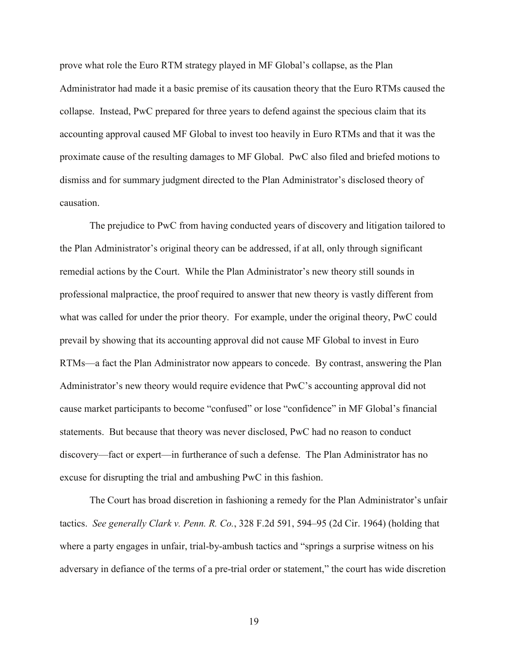prove what role the Euro RTM strategy played in MF Global's collapse, as the Plan Administrator had made it a basic premise of its causation theory that the Euro RTMs caused the collapse. Instead, PwC prepared for three years to defend against the specious claim that its accounting approval caused MF Global to invest too heavily in Euro RTMs and that it was the proximate cause of the resulting damages to MF Global. PwC also filed and briefed motions to dismiss and for summary judgment directed to the Plan Administrator's disclosed theory of causation.

The prejudice to PwC from having conducted years of discovery and litigation tailored to the Plan Administrator's original theory can be addressed, if at all, only through significant remedial actions by the Court. While the Plan Administrator's new theory still sounds in professional malpractice, the proof required to answer that new theory is vastly different from what was called for under the prior theory. For example, under the original theory, PwC could prevail by showing that its accounting approval did not cause MF Global to invest in Euro RTMs—a fact the Plan Administrator now appears to concede. By contrast, answering the Plan Administrator's new theory would require evidence that PwC's accounting approval did not cause market participants to become "confused" or lose "confidence" in MF Global's financial statements. But because that theory was never disclosed, PwC had no reason to conduct discovery—fact or expert—in furtherance of such a defense. The Plan Administrator has no excuse for disrupting the trial and ambushing PwC in this fashion.

The Court has broad discretion in fashioning a remedy for the Plan Administrator's unfair tactics. *See generally Clark v. Penn. R. Co.*, 328 F.2d 591, 594–95 (2d Cir. 1964) (holding that where a party engages in unfair, trial-by-ambush tactics and "springs a surprise witness on his adversary in defiance of the terms of a pre-trial order or statement," the court has wide discretion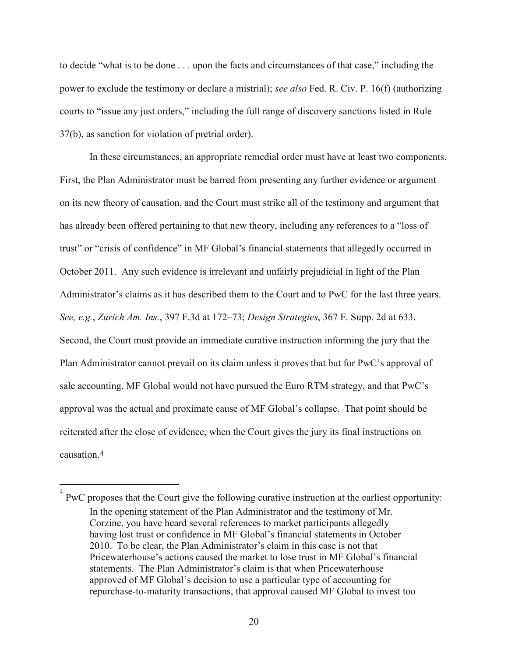to decide "what is to be done . . . upon the facts and circumstances of that case," including the power to exclude the testimony or declare a mistrial); *see also* Fed. R. Civ. P. 16(f) (authorizing courts to "issue any just orders," including the full range of discovery sanctions listed in Rule 37(b), as sanction for violation of pretrial order).

In these circumstances, an appropriate remedial order must have at least two components. First, the Plan Administrator must be barred from presenting any further evidence or argument on its new theory of causation, and the Court must strike all of the testimony and argument that has already been offered pertaining to that new theory, including any references to a "loss of trust" or "crisis of confidence" in MF Global's financial statements that allegedly occurred in October 2011. Any such evidence is irrelevant and unfairly prejudicial in light of the Plan Administrator's claims as it has described them to the Court and to PwC for the last three years. *See, e.g.*, *Zurich Am. Ins.*, 397 F.3d at 172–73; *Design Strategies*, 367 F. Supp. 2d at 633. Second, the Court must provide an immediate curative instruction informing the jury that the Plan Administrator cannot prevail on its claim unless it proves that but for PwC's approval of sale accounting, MF Global would not have pursued the Euro RTM strategy, and that PwC's approval was the actual and proximate cause of MF Global's collapse. That point should be reiterated after the close of evidence, when the Court gives the jury its final instructions on causation.[4](#page-20-0)

<span id="page-20-0"></span> <sup>4</sup> PwC proposes that the Court give the following curative instruction at the earliest opportunity: In the opening statement of the Plan Administrator and the testimony of Mr. Corzine, you have heard several references to market participants allegedly having lost trust or confidence in MF Global's financial statements in October 2010. To be clear, the Plan Administrator's claim in this case is not that Pricewaterhouse's actions caused the market to lose trust in MF Global's financial statements. The Plan Administrator's claim is that when Pricewaterhouse approved of MF Global's decision to use a particular type of accounting for repurchase-to-maturity transactions, that approval caused MF Global to invest too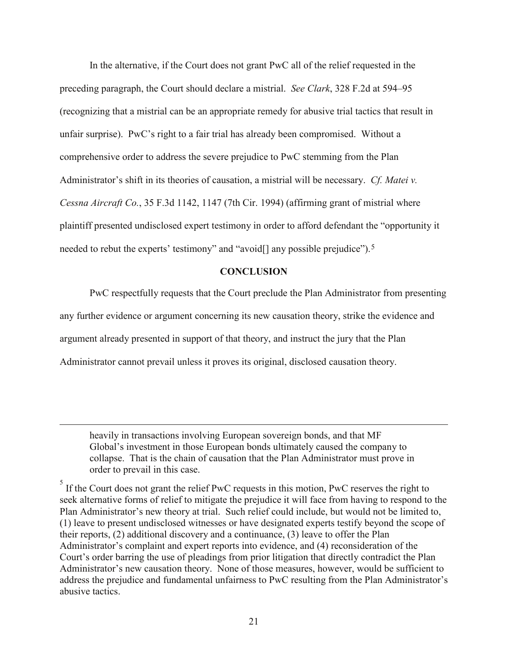In the alternative, if the Court does not grant PwC all of the relief requested in the preceding paragraph, the Court should declare a mistrial. *See Clark*, 328 F.2d at 594–95 (recognizing that a mistrial can be an appropriate remedy for abusive trial tactics that result in unfair surprise). PwC's right to a fair trial has already been compromised. Without a comprehensive order to address the severe prejudice to PwC stemming from the Plan Administrator's shift in its theories of causation, a mistrial will be necessary. *Cf. Matei v. Cessna Aircraft Co.*, 35 F.3d 1142, 1147 (7th Cir. 1994) (affirming grant of mistrial where plaintiff presented undisclosed expert testimony in order to afford defendant the "opportunity it needed to rebut the experts' testimony" and "avoid[] any possible prejudice").<sup>[5](#page-21-1)</sup>

#### **CONCLUSION**

<span id="page-21-0"></span>PwC respectfully requests that the Court preclude the Plan Administrator from presenting any further evidence or argument concerning its new causation theory, strike the evidence and argument already presented in support of that theory, and instruct the jury that the Plan Administrator cannot prevail unless it proves its original, disclosed causation theory.

 $\overline{a}$ 

heavily in transactions involving European sovereign bonds, and that MF Global's investment in those European bonds ultimately caused the company to collapse. That is the chain of causation that the Plan Administrator must prove in order to prevail in this case.

<span id="page-21-1"></span> $<sup>5</sup>$  If the Court does not grant the relief PwC requests in this motion, PwC reserves the right to</sup> seek alternative forms of relief to mitigate the prejudice it will face from having to respond to the Plan Administrator's new theory at trial. Such relief could include, but would not be limited to, (1) leave to present undisclosed witnesses or have designated experts testify beyond the scope of their reports, (2) additional discovery and a continuance, (3) leave to offer the Plan Administrator's complaint and expert reports into evidence, and (4) reconsideration of the Court's order barring the use of pleadings from prior litigation that directly contradict the Plan Administrator's new causation theory. None of those measures, however, would be sufficient to address the prejudice and fundamental unfairness to PwC resulting from the Plan Administrator's abusive tactics.